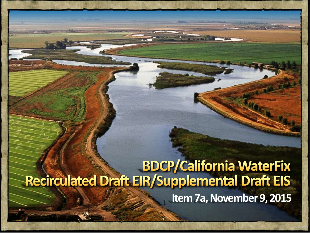# **Example 1988 BDCP/California WaterFix<br>Recirculated Draft EIR/Supplemental Draft EIS Item 7a, November 9, 2015**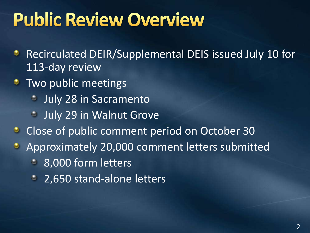# **Public Review Overview**

- Recirculated DEIR/Supplemental DEIS issued July 10 for ۰ 113-day review
- **Two public meetings** 
	- July 28 in Sacramento  $\bullet$
	- **July 29 in Walnut Grove**
- Close of public comment period on October 30  $\bullet$
- Approximately 20,000 comment letters submitted  $\bullet$ 
	- 8,000 form letters  $\bullet$
	- <sup>2</sup> 2,650 stand-alone letters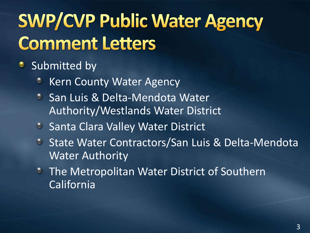# **SWP/CVP Public Water Agency Comment Letters**

### **Submitted by**

- Kern County Water Agency
- **San Luis & Delta-Mendota Water** Authority/Westlands Water District
- **Santa Clara Valley Water District**
- State Water Contractors/San Luis & Delta-Mendota Water Authority
- **The Metropolitan Water District of Southern** California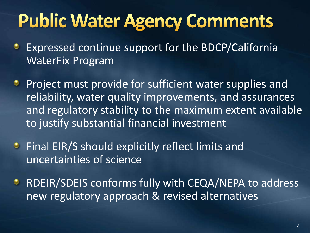# **Public Water Agency Comments**

- Expressed continue support for the BDCP/California ٠ WaterFix Program
- Project must provide for sufficient water supplies and reliability, water quality improvements, and assurances and regulatory stability to the maximum extent available to justify substantial financial investment
- **•** Final EIR/S should explicitly reflect limits and uncertainties of science
- RDEIR/SDEIS conforms fully with CEQA/NEPA to address ۰ new regulatory approach & revised alternatives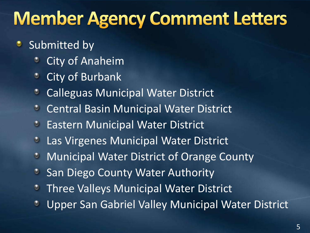# **Member Agency Comment Letters**

### Submitted by

- City of Anaheim
- City of Burbank  $\circ$
- Calleguas Municipal Water District ٥
- **Central Basin Municipal Water District**
- Eastern Municipal Water District  $\bullet$
- Las Virgenes Municipal Water District  $\bullet$
- Municipal Water District of Orange County  $\bullet$
- San Diego County Water Authority
- Three Valleys Municipal Water District
- Upper San Gabriel Valley Municipal Water District ٥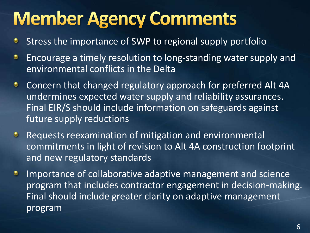# **Member Agency Comments**

- Stress the importance of SWP to regional supply portfolio ۰
- Encourage a timely resolution to long-standing water supply and ۰ environmental conflicts in the Delta
- Concern that changed regulatory approach for preferred Alt 4A ۰ undermines expected water supply and reliability assurances. Final EIR/S should include information on safeguards against future supply reductions
- Requests reexamination of mitigation and environmental  $\bullet$ commitments in light of revision to Alt 4A construction footprint and new regulatory standards
- Importance of collaborative adaptive management and science ۰ program that includes contractor engagement in decision-making. Final should include greater clarity on adaptive management program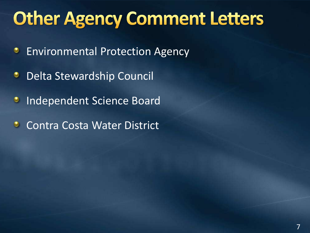# **Other Agency Comment Letters**

- Environmental Protection Agency ٠
- Delta Stewardship Council ٠
- Independent Science Board  $\bullet$
- Contra Costa Water District  $\bullet$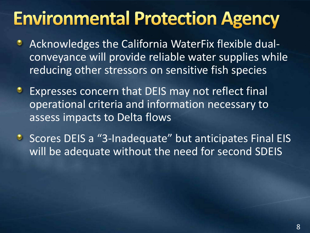# **Environmental Protection Agency**

- Acknowledges the California WaterFix flexible dualconveyance will provide reliable water supplies while reducing other stressors on sensitive fish species
- Expresses concern that DEIS may not reflect final ۰ operational criteria and information necessary to assess impacts to Delta flows
- **•** Scores DEIS a "3-Inadequate" but anticipates Final EIS will be adequate without the need for second SDEIS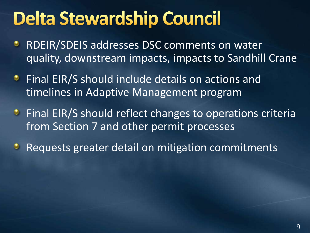# **Delta Stewardship Council**

- RDEIR/SDEIS addresses DSC comments on water ۰ quality, downstream impacts, impacts to Sandhill Crane
- **•** Final EIR/S should include details on actions and timelines in Adaptive Management program
- **•** Final EIR/S should reflect changes to operations criteria from Section 7 and other permit processes
- Requests greater detail on mitigation commitments  $\bullet$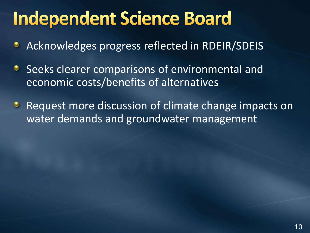# **Independent Science Board**

- Acknowledges progress reflected in RDEIR/SDEIS ٠
- Seeks clearer comparisons of environmental and ۰ economic costs/benefits of alternatives
- Request more discussion of climate change impacts on  $\bullet$ water demands and groundwater management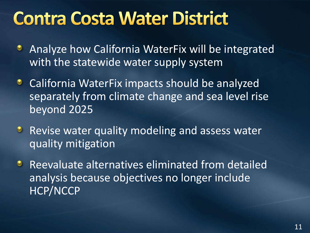## **Contra Costa Water District**

- Analyze how California WaterFix will be integrated ۰ with the statewide water supply system
- California WaterFix impacts should be analyzed ٠ separately from climate change and sea level rise beyond 2025
- **Revise water quality modeling and assess water** quality mitigation
- Reevaluate alternatives eliminated from detailed  $\bullet$ analysis because objectives no longer include HCP/NCCP